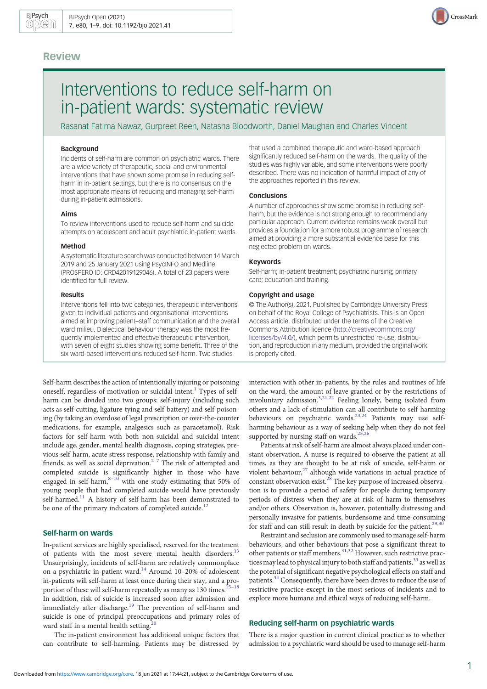## Review

# Interventions to reduce self-harm on in-patient wards: systematic review

Rasanat Fatima Nawaz, Gurpreet Reen, Natasha Bloodworth, Daniel Maughan and Charles Vincent

## Background

Incidents of self-harm are common on psychiatric wards. There are a wide variety of therapeutic, social and environmental interventions that have shown some promise in reducing selfharm in in-patient settings, but there is no consensus on the most appropriate means of reducing and managing self-harm during in-patient admissions.

#### Aims

To review interventions used to reduce self-harm and suicide attempts on adolescent and adult psychiatric in-patient wards.

## Method

A systematic literature search was conducted between 14 March 2019 and 25 January 2021 using PsycINFO and Medline (PROSPERO ID: CRD42019129046). A total of 23 papers were identified for full review.

#### Results

Interventions fell into two categories, therapeutic interventions given to individual patients and organisational interventions aimed at improving patient–staff communication and the overall ward milieu. Dialectical behaviour therapy was the most frequently implemented and effective therapeutic intervention, with seven of eight studies showing some benefit. Three of the six ward-based interventions reduced self-harm. Two studies

Self-harm describes the action of intentionally injuring or poisoning oneself, regardless of motivation or suicidal intent.<sup>1</sup> Types of selfharm can be divided into two groups: self-injury (including such acts as self-cutting, ligature-tying and self-battery) and self-poisoning (by taking an overdose of legal prescription or over-the-counter medications, for example, analgesics such as paracetamol). Risk factors for self-harm with both non-suicidal and suicidal intent include age, gender, mental health diagnosis, coping strategies, previous self-harm, acute stress response, relationship with family and friends, as well as social deprivation.[2](#page-7-0)–[7](#page-7-0) The risk of attempted and completed suicide is significantly higher in those who have engaged in self-harm, $8-10$  $8-10$  $8-10$  with one study estimating that 50% of young people that had completed suicide would have previously self-harmed.<sup>[11](#page-7-0)</sup> A history of self-harm has been demonstrated to be one of the primary indicators of completed suicide.<sup>[12](#page-7-0)</sup>

## Self-harm on wards

In-patient services are highly specialised, reserved for the treatment of patients with the most severe mental health disorders.<sup>[13](#page-7-0)</sup> Unsurprisingly, incidents of self-harm are relatively commonplace on a psychiatric in-patient ward.[14](#page-7-0) Around 10–20% of adolescent in-patients will self-harm at least once during their stay, and a pro-portion of these will self-harm repeatedly as many as 130 times.<sup>[15](#page-7-0)-[18](#page-7-0)</sup> In addition, risk of suicide is increased soon after admission and immediately after discharge.<sup>[19](#page-7-0)</sup> The prevention of self-harm and suicide is one of principal preoccupations and primary roles of ward staff in a mental health setting.<sup>2</sup>

The in-patient environment has additional unique factors that can contribute to self-harming. Patients may be distressed by

that used a combined therapeutic and ward-based approach significantly reduced self-harm on the wards. The quality of the studies was highly variable, and some interventions were poorly described. There was no indication of harmful impact of any of the approaches reported in this review.

#### Conclusions

A number of approaches show some promise in reducing selfharm, but the evidence is not strong enough to recommend any particular approach. Current evidence remains weak overall but provides a foundation for a more robust programme of research aimed at providing a more substantial evidence base for this neglected problem on wards.

## Keywords

Self-harm; in-patient treatment; psychiatric nursing; primary care; education and training.

#### Copyright and usage

© The Author(s), 2021. Published by Cambridge University Press on behalf of the Royal College of Psychiatrists. This is an Open Access article, distributed under the terms of the Creative Commons Attribution licence [\(http://creativecommons.org/](http://creativecommons.org/licenses/by/4.0/) [licenses/by/4.0/](http://creativecommons.org/licenses/by/4.0/)), which permits unrestricted re-use, distribution, and reproduction in any medium, provided the original work is properly cited.

interaction with other in-patients, by the rules and routines of life on the ward, the amount of leave granted or by the restrictions of involuntary admission.<sup>[3](#page-7-0),[21](#page-7-0),[22](#page-7-0)</sup> Feeling lonely, being isolated from others and a lack of stimulation can all contribute to self-harming behaviours on psychiatric wards.<sup>[23,24](#page-7-0)</sup> Patients may use selfharming behaviour as a way of seeking help when they do not feel supported by nursing staff on wards.<sup>25,26</sup>

Patients at risk of self-harm are almost always placed under constant observation. A nurse is required to observe the patient at all times, as they are thought to be at risk of suicide, self-harm or violent behaviour,<sup>[27](#page-7-0)</sup> although wide variations in actual practice of constant observation exist.[28](#page-7-0) The key purpose of increased observation is to provide a period of safety for people during temporary periods of distress when they are at risk of harm to themselves and/or others. Observation is, however, potentially distressing and personally invasive for patients, burdensome and time-consuming for staff and can still result in death by suicide for the patient.<sup>[29,30](#page-7-0)</sup>

Restraint and seclusion are commonly used to manage self-harm behaviours, and other behaviours that pose a significant threat to other patients or staff members.<sup>31,32</sup> However, such restrictive practices may lead to physical injury to both staff and patients,  $33$  as well as the potential of significant negative psychological effects on staff and patients.<sup>[34](#page-7-0)</sup> Consequently, there have been drives to reduce the use of restrictive practice except in the most serious of incidents and to explore more humane and ethical ways of reducing self-harm.

## Reducing self-harm on psychiatric wards

There is a major question in current clinical practice as to whether admission to a psychiatric ward should be used to manage self-harm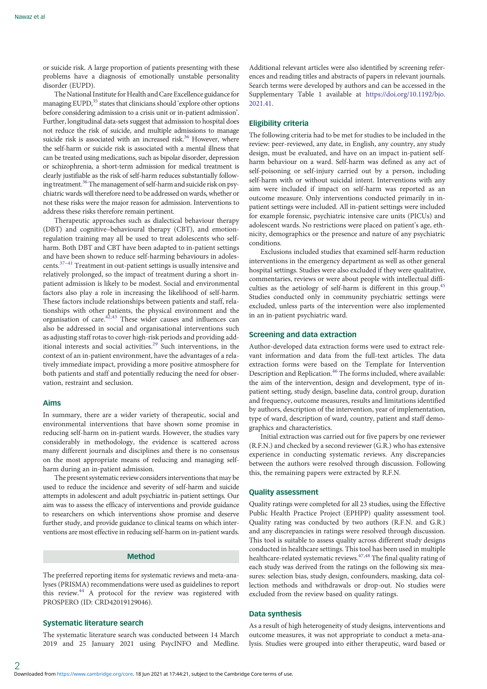or suicide risk. A large proportion of patients presenting with these problems have a diagnosis of emotionally unstable personality disorder (EUPD).

The National Institute for Health and Care Excellence guidance for managing EUPD,<sup>35</sup> states that clinicians should 'explore other options before considering admission to a crisis unit or in-patient admission'. Further, longitudinal data-sets suggest that admission to hospital does not reduce the risk of suicide, and multiple admissions to manage suicide risk is associated with an increased risk.<sup>36</sup> However, where the self-harm or suicide risk is associated with a mental illness that can be treated using medications, such as bipolar disorder, depression or schizophrenia, a short-term admission for medical treatment is clearly justifiable as the risk of self-harm reduces substantially follow-ing treatment.<sup>[36](#page-7-0)</sup> The management of self-harm and suicide risk on psychiatric wards will therefore need to be addressed on wards, whether or not these risks were the major reason for admission. Interventions to address these risks therefore remain pertinent.

Therapeutic approaches such as dialectical behaviour therapy (DBT) and cognitive–behavioural therapy (CBT), and emotionregulation training may all be used to treat adolescents who selfharm. Both DBT and CBT have been adapted to in-patient settings and have been shown to reduce self-harming behaviours in adolescents.[37](#page-7-0)–[41](#page-7-0) Treatment in out-patient settings is usually intensive and relatively prolonged, so the impact of treatment during a short inpatient admission is likely to be modest. Social and environmental factors also play a role in increasing the likelihood of self-harm. These factors include relationships between patients and staff, relationships with other patients, the physical environment and the organisation of care.[42](#page-7-0),[43](#page-7-0) These wider causes and influences can also be addressed in social and organisational interventions such as adjusting staff rotas to cover high-risk periods and providing additional interests and social activities[.29](#page-7-0) Such interventions, in the context of an in-patient environment, have the advantages of a relatively immediate impact, providing a more positive atmosphere for both patients and staff and potentially reducing the need for observation, restraint and seclusion.

## Aims

In summary, there are a wider variety of therapeutic, social and environmental interventions that have shown some promise in reducing self-harm on in-patient wards. However, the studies vary considerably in methodology, the evidence is scattered across many different journals and disciplines and there is no consensus on the most appropriate means of reducing and managing selfharm during an in-patient admission.

The present systematic review considers interventions that may be used to reduce the incidence and severity of self-harm and suicide attempts in adolescent and adult psychiatric in-patient settings. Our aim was to assess the efficacy of interventions and provide guidance to researchers on which interventions show promise and deserve further study, and provide guidance to clinical teams on which interventions are most effective in reducing self-harm on in-patient wards.

## Method

The preferred reporting items for systematic reviews and meta-analyses (PRISMA) recommendations were used as guidelines to report this review.<sup>[44](#page-8-0)</sup> A protocol for the review was registered with PROSPERO (ID: CRD42019129046).

## Systematic literature search

The systematic literature search was conducted between 14 March 2019 and 25 January 2021 using PsycINFO and Medline.

Additional relevant articles were also identified by screening references and reading titles and abstracts of papers in relevant journals. Search terms were developed by authors and can be accessed in the Supplementary Table 1 available at [https://doi.org/10.1192/bjo.](https://doi.org/10.1192/bjo.2021.41) [2021.41](https://doi.org/10.1192/bjo.2021.41).

#### Eligibility criteria

The following criteria had to be met for studies to be included in the review: peer-reviewed, any date, in English, any country, any study design, must be evaluated, and have on an impact in-patient selfharm behaviour on a ward. Self-harm was defined as any act of self-poisoning or self-injury carried out by a person, including self-harm with or without suicidal intent. Interventions with any aim were included if impact on self-harm was reported as an outcome measure. Only interventions conducted primarily in inpatient settings were included. All in-patient settings were included for example forensic, psychiatric intensive care units (PICUs) and adolescent wards. No restrictions were placed on patient's age, ethnicity, demographics or the presence and nature of any psychiatric conditions.

Exclusions included studies that examined self-harm reduction interventions in the emergency department as well as other general hospital settings. Studies were also excluded if they were qualitative, commentaries, reviews or were about people with intellectual diffi-culties as the aetiology of self-harm is different in this group.<sup>[45](#page-8-0)</sup> Studies conducted only in community psychiatric settings were excluded, unless parts of the intervention were also implemented in an in-patient psychiatric ward.

#### Screening and data extraction

Author-developed data extraction forms were used to extract relevant information and data from the full-text articles. The data extraction forms were based on the Template for Intervention Description and Replication.<sup>[46](#page-8-0)</sup> The forms included, where available: the aim of the intervention, design and development, type of inpatient setting, study design, baseline data, control group, duration and frequency, outcome measures, results and limitations identified by authors, description of the intervention, year of implementation, type of ward, description of ward, country, patient and staff demographics and characteristics.

Initial extraction was carried out for five papers by one reviewer (R.F.N.) and checked by a second reviewer (G.R.) who has extensive experience in conducting systematic reviews. Any discrepancies between the authors were resolved through discussion. Following this, the remaining papers were extracted by R.F.N.

## Quality assessment

Quality ratings were completed for all 23 studies, using the Effective Public Health Practice Project (EPHPP) quality assessment tool. Quality rating was conducted by two authors (R.F.N. and G.R.) and any discrepancies in ratings were resolved through discussion. This tool is suitable to assess quality across different study designs conducted in healthcare settings. This tool has been used in multiple healthcare-related systematic reviews.<sup>47,48</sup> The final quality rating of each study was derived from the ratings on the following six measures: selection bias, study design, confounders, masking, data collection methods and withdrawals or drop-out. No studies were excluded from the review based on quality ratings.

## Data synthesis

As a result of high heterogeneity of study designs, interventions and outcome measures, it was not appropriate to conduct a meta-analysis. Studies were grouped into either therapeutic, ward based or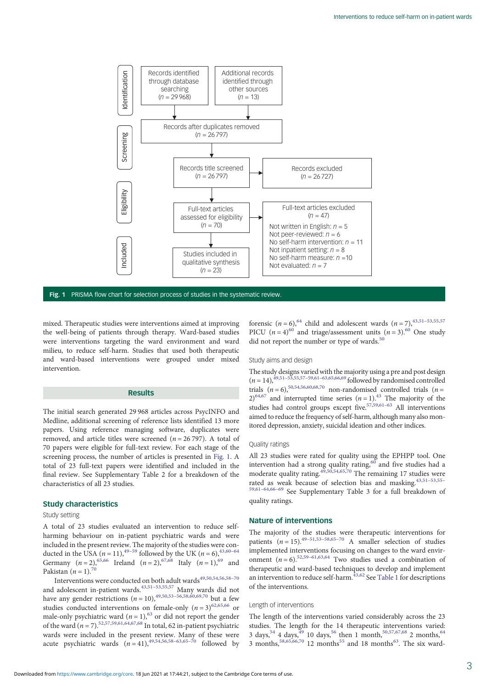

Fig. 1 PRISMA flow chart for selection process of studies in the systematic review.

mixed. Therapeutic studies were interventions aimed at improving the well-being of patients through therapy. Ward-based studies were interventions targeting the ward environment and ward milieu, to reduce self-harm. Studies that used both therapeutic and ward-based interventions were grouped under mixed intervention.

## Results

The initial search generated 29 968 articles across PsycINFO and Medline, additional screening of reference lists identified 13 more papers. Using reference managing software, duplicates were removed, and article titles were screened ( $n = 26797$ ). A total of 70 papers were eligible for full-text review. For each stage of the screening process, the number of articles is presented in Fig. 1. A total of 23 full-text papers were identified and included in the final review. See Supplementary Table 2 for a breakdown of the characteristics of all 23 studies.

#### Study characteristics

#### Study setting

A total of 23 studies evaluated an intervention to reduce selfharming behaviour on in-patient psychiatric wards and were included in the present review. The majority of the studies were conducted in the USA  $(n = 11)$ ,<sup>49–[59](#page-8-0)</sup> followed by the UK  $(n = 6)$ ,<sup>43,[60](#page-8-0)–[64](#page-8-0)</sup> Germany  $(n = 2)$ ,  $65,66$  Ireland  $(n = 2)$ ,  $67,68$  Italy  $(n = 1)$ ,  $69$  and Pakistan  $(n = 1)$ .<sup>[70](#page-8-0)</sup>

Interventions were conducted on both adult wards $49,50,54,56,58-70$  $49,50,54,56,58-70$ and adolescent in-patient wards.<sup>[43](#page-7-0)[,51](#page-8-0)-[53,55,57](#page-8-0)</sup> Many wards did not have any gender restrictions  $(n = 10)$ ,<sup>49,50,[53](#page-8-0)–[56](#page-8-0),[58](#page-8-0),[60](#page-8-0),[69](#page-8-0),[70](#page-8-0)</sup> but a few studies conducted interventions on female-only  $(n=3)^{62,65,66}$  $(n=3)^{62,65,66}$  $(n=3)^{62,65,66}$  or male-only psychiatric ward ( $n = 1$ ),<sup>[63](#page-8-0)</sup> or did not report the gender of the ward  $(n = 7)$ .<sup>52,57,59,61,64,67,68</sup> In total, 62 in-patient psychiatric wards were included in the present review. Many of these were acute psychiatric wards  $(n=41)$ , <sup>[49](#page-8-0),[54](#page-8-0),[56](#page-8-0),[58](#page-8-0)–[63](#page-8-0),[65](#page-8-0)–[70](#page-8-0)</sup> followed by

forensic  $(n = 6)$ ,<sup>[64](#page-8-0)</sup> child and adolescent wards  $(n = 7)$ ,<sup>43,[51](#page-8-0)–[53,55,57](#page-8-0)</sup> PICU ( $n = 4$ )<sup>[60](#page-8-0)</sup> and triage/assessment units ( $n = 3$ ).<sup>60</sup> One study did not report the number or type of wards.<sup>[50](#page-8-0)</sup>

#### Study aims and design

The study designs varied with the majority using a pre and post design  $(n = 14)$ ,  $\frac{49,51-53,55,57-59,61-63,65,66,69}{6}$  $\frac{49,51-53,55,57-59,61-63,65,66,69}{6}$  $\frac{49,51-53,55,57-59,61-63,65,66,69}{6}$  $\frac{49,51-53,55,57-59,61-63,65,66,69}{6}$  $\frac{49,51-53,55,57-59,61-63,65,66,69}{6}$  $\frac{49,51-53,55,57-59,61-63,65,66,69}{6}$  $\frac{49,51-53,55,57-59,61-63,65,66,69}{6}$  $\frac{49,51-53,55,57-59,61-63,65,66,69}{6}$  $\frac{49,51-53,55,57-59,61-63,65,66,69}{6}$  $\frac{49,51-53,55,57-59,61-63,65,66,69}{6}$  $\frac{49,51-53,55,57-59,61-63,65,66,69}{6}$  $\frac{49,51-53,55,57-59,61-63,65,66,69}{6}$  $\frac{49,51-53,55,57-59,61-63,65,66,69}{6}$  followed by randomised controlled trials  $(n = 6)$ ,<sup>50,[54,56,60](#page-8-0),[68](#page-8-0),[70](#page-8-0)</sup> non-randomised controlled trials  $(n = 1)$  $2)^{64,67}$  $2)^{64,67}$  $2)^{64,67}$  and interrupted time series  $(n=1)$ .<sup>43</sup> The majority of the studies had control groups except five.<sup>57,59,[61](#page-8-0)-[63](#page-8-0)</sup> All interventions aimed to reduce the frequency of self-harm, although many also monitored depression, anxiety, suicidal ideation and other indices.

#### Quality ratings

All 23 studies were rated for quality using the EPHPP tool. One intervention had a strong quality rating,  $60$  and five studies had a moderate quality rating. $4\overline{9},50,54,65,70$  $4\overline{9},50,54,65,70$  $4\overline{9},50,54,65,70$  $4\overline{9},50,54,65,70$  $4\overline{9},50,54,65,70$  $4\overline{9},50,54,65,70$  The remaining 17 studies were rated as weak because of selection bias and masking. [43](#page-7-0),[51](#page-8-0)-[53](#page-8-0),[55](#page-8-0)-[59,61](#page-8-0)–[64,66](#page-8-0)–[69](#page-8-0) See Supplementary Table 3 for a full breakdown of quality ratings.

#### Nature of interventions

The majority of the studies were therapeutic interventions for patients  $(n = 15)$ .<sup>[49](#page-8-0)–[51](#page-8-0),[53](#page-8-0)–[58](#page-8-0),[65](#page-8-0)–[70](#page-8-0)</sup> A smaller selection of studies implemented interventions focusing on changes to the ward environment  $(n = 6)$ .<sup>52,[59](#page-8-0)–[61](#page-8-0),[63](#page-8-0),[64](#page-8-0)</sup> Two studies used a combination of therapeutic and ward-based techniques to develop and implement an intervention to reduce self-harm. $43,62$  $43,62$  $43,62$  See [Table 1](#page-3-0) for descriptions of the interventions.

#### Length of interventions

The length of the interventions varied considerably across the 23 studies. The length for the 14 therapeutic interventions varied: 3 days,<sup>54</sup> 4 days,<sup>49</sup> 10 days,<sup>[56](#page-8-0)</sup> then 1 month,<sup>50,57,67,68</sup> 2 months,<sup>[64](#page-8-0)</sup> 3 months,<sup>[58](#page-8-0),[65](#page-8-0),[66,70](#page-8-0)</sup> 12 months<sup>[55](#page-8-0)</sup> and 18 months<sup>[63](#page-8-0)</sup>. The six ward-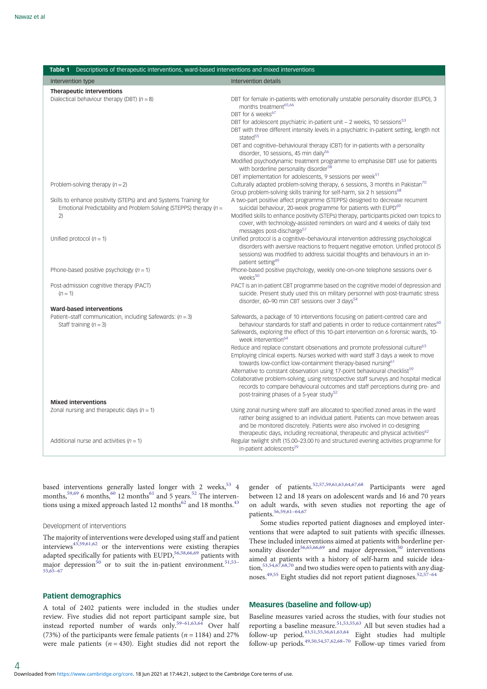<span id="page-3-0"></span>

| Table 1 Descriptions of therapeutic interventions, ward-based interventions and mixed interventions                                       |                                                                                                                                                                                                                                                                                                                                                  |
|-------------------------------------------------------------------------------------------------------------------------------------------|--------------------------------------------------------------------------------------------------------------------------------------------------------------------------------------------------------------------------------------------------------------------------------------------------------------------------------------------------|
| Intervention type                                                                                                                         | Intervention details                                                                                                                                                                                                                                                                                                                             |
| <b>Therapeutic interventions</b>                                                                                                          |                                                                                                                                                                                                                                                                                                                                                  |
| Dialectical behaviour therapy (DBT) $(n = 8)$                                                                                             | DBT for female in-patients with emotionally unstable personality disorder (EUPD), 3<br>months treatment <sup>65,66</sup><br>DBT for 6 weeks <sup>67</sup>                                                                                                                                                                                        |
|                                                                                                                                           | DBT for adolescent psychiatric in-patient unit $-$ 2 weeks, 10 sessions <sup>53</sup><br>DBT with three different intensity levels in a psychiatric in-patient setting, length not<br>stated <sup>55</sup>                                                                                                                                       |
|                                                                                                                                           | DBT and cognitive-behavioural therapy (CBT) for in-patients with a personality<br>disorder, 10 sessions, 45 min daily <sup>56</sup>                                                                                                                                                                                                              |
|                                                                                                                                           | Modified psychodynamic treatment programme to emphasise DBT use for patients<br>with borderline personality disorder <sup>58</sup>                                                                                                                                                                                                               |
| Problem-solving therapy $(n = 2)$                                                                                                         | DBT implementation for adolescents, 9 sessions per week <sup>51</sup><br>Culturally adapted problem-solving therapy, 6 sessions, 3 months in Pakistan <sup>70</sup>                                                                                                                                                                              |
|                                                                                                                                           | Group problem-solving skills training for self-harm, six 2 h sessions <sup>68</sup>                                                                                                                                                                                                                                                              |
| Skills to enhance positivity (STEPs) and and Systems Training for<br>Emotional Predictability and Problem Solving (STEPPS) therapy $(n =$ | A two-part positive affect programme (STEPPS) designed to decrease recurrent<br>suicidal behaviour, 20-week programme for patients with EUPD <sup>69</sup>                                                                                                                                                                                       |
| 2)                                                                                                                                        | Modified skills to enhance positivity (STEPs) therapy, participants picked own topics to<br>cover, with technology-assisted reminders on ward and 4 weeks of daily text<br>messages post-discharge <sup>57</sup>                                                                                                                                 |
| Unified protocol $(n = 1)$                                                                                                                | Unified protocol is a cognitive-behavioural intervention addressing psychological<br>disorders with aversive reactions to frequent negative emotion. Unified protocol (5<br>sessions) was modified to address suicidal thoughts and behaviours in an in-<br>patient setting <sup>49</sup>                                                        |
| Phone-based positive psychology $(n = 1)$                                                                                                 | Phone-based positive psychology, weekly one-on-one telephone sessions over 6<br>weeks <sup>50</sup>                                                                                                                                                                                                                                              |
| Post-admission cognitive therapy (PACT)<br>$(n = 1)$                                                                                      | PACT is an in-patient CBT programme based on the cognitive model of depression and<br>suicide. Present study used this on military personnel with post-traumatic stress<br>disorder, 60-90 min CBT sessions over 3 days <sup>54</sup>                                                                                                            |
| <b>Ward-based interventions</b>                                                                                                           |                                                                                                                                                                                                                                                                                                                                                  |
| Patient-staff communication, including Safewards: $(n = 3)$<br>Staff training $(n = 3)$                                                   | Safewards, a package of 10 interventions focusing on patient-centred care and<br>behaviour standards for staff and patients in order to reduce containment rates <sup>60</sup><br>Safewards, exploring the effect of this 10-part intervention on 6 forensic wards, 10-                                                                          |
|                                                                                                                                           | week intervention <sup>64</sup>                                                                                                                                                                                                                                                                                                                  |
|                                                                                                                                           | Reduce and replace constant observations and promote professional culture <sup>63</sup><br>Employing clinical experts. Nurses worked with ward staff 3 days a week to move<br>towards low-conflict low-containment therapy-based nursing <sup>61</sup>                                                                                           |
|                                                                                                                                           | Alternative to constant observation using 17-point behavioural checklist <sup>59</sup><br>Collaborative problem-solving, using retrospective staff surveys and hospital medical<br>records to compare behavioural outcomes and staff perceptions during pre- and                                                                                 |
|                                                                                                                                           | post-training phases of a 5-year study <sup>52</sup>                                                                                                                                                                                                                                                                                             |
| <b>Mixed interventions</b>                                                                                                                |                                                                                                                                                                                                                                                                                                                                                  |
| Zonal nursing and therapeutic days $(n = 1)$                                                                                              | Using zonal nursing where staff are allocated to specified zoned areas in the ward<br>rather being assigned to an individual patient. Patients can move between areas<br>and be monitored discretely. Patients were also involved in co-designing<br>therapeutic days, including recreational, therapeutic and physical activities <sup>62</sup> |
| Additional nurse and activities $(n = 1)$                                                                                                 | Regular twilight shift (15.00-23.00 h) and structured evening activities programme for<br>in-patient adolescents <sup>29</sup>                                                                                                                                                                                                                   |

based interventions generally lasted longer with 2 weeks,  $53$  4 months,<sup>[59](#page-8-0),[69](#page-8-0)</sup> 6 months,<sup>[60](#page-8-0)</sup> 12 months<sup>61</sup> and 5 years.<sup>[52](#page-8-0)</sup> The interven-tions using a mixed approach lasted 12 months<sup>62</sup> and 18 months.<sup>[43](#page-7-0)</sup>

#### Development of interventions

The majority of interventions were developed using staff and patient interviews $4^{3,59,61,62}$  $4^{3,59,61,62}$  $4^{3,59,61,62}$  $4^{3,59,61,62}$  $4^{3,59,61,62}$  $4^{3,59,61,62}$  $4^{3,59,61,62}$  or the interventions were existing therapies adapted specifically for patients with EUPD,  $56,58,66,69$  $56,58,66,69$  $56,58,66,69$  $56,58,66,69$  $56,58,66,69$  $56,58,66,69$  $56,58,66,69$  patients with major depression<sup>[50](#page-8-0)</sup> or to suit the in-patient environment.<sup>[51](#page-8-0),[53](#page-8-0)–</sup> [55,65](#page-8-0)–[67](#page-8-0)

## Patient demographics

A total of 2402 patients were included in the studies under review. Five studies did not report participant sample size, but instead reported number of wards only.<sup>[59](#page-8-0)–[61](#page-8-0),[63](#page-8-0),[64](#page-8-0)</sup> Over half (73%) of the participants were female patients ( $n = 1184$ ) and 27% were male patients ( $n = 430$ ). Eight studies did not report the

gender of patients.<sup>[52,57,59,61,63,64](#page-8-0),[67](#page-8-0),[68](#page-8-0)</sup> Participants were aged between 12 and 18 years on adolescent wards and 16 and 70 years on adult wards, with seven studies not reporting the age of patients.<sup>[56](#page-8-0),[59](#page-8-0),[61](#page-8-0)–[64](#page-8-0),[67](#page-8-0)</sup>

Some studies reported patient diagnoses and employed interventions that were adapted to suit patients with specific illnesses. These included interventions aimed at patients with borderline per-sonality disorder<sup>[56](#page-8-0),[65](#page-8-0),[66](#page-8-0),[69](#page-8-0)</sup> and major depression,<sup>[50](#page-8-0)</sup> interventions aimed at patients with a history of self-harm and suicide ideation,[53](#page-8-0),[54](#page-8-0),[67](#page-8-0),[68](#page-8-0),[70](#page-8-0) and two studies were open to patients with any diagnoses.[49,55](#page-8-0) Eight studies did not report patient diagnoses.[52](#page-8-0),[57](#page-8-0)–[64](#page-8-0)

## Measures (baseline and follow-up)

Baseline measures varied across the studies, with four studies not reporting a baseline measure.<sup>[51](#page-8-0),[53](#page-8-0),[55](#page-8-0),[63](#page-8-0)</sup> All but seven studies had a follow-up period.<sup>[43,](#page-7-0)[51,55,56,61,63](#page-8-0),[64](#page-8-0)</sup> Eight studies had multiple follow-up periods. $49,50,54,57,62,68-70$  $49,50,54,57,62,68-70$  $49,50,54,57,62,68-70$  $49,50,54,57,62,68-70$  $49,50,54,57,62,68-70$  $49,50,54,57,62,68-70$  $49,50,54,57,62,68-70$  $49,50,54,57,62,68-70$  $49,50,54,57,62,68-70$  Follow-up times varied from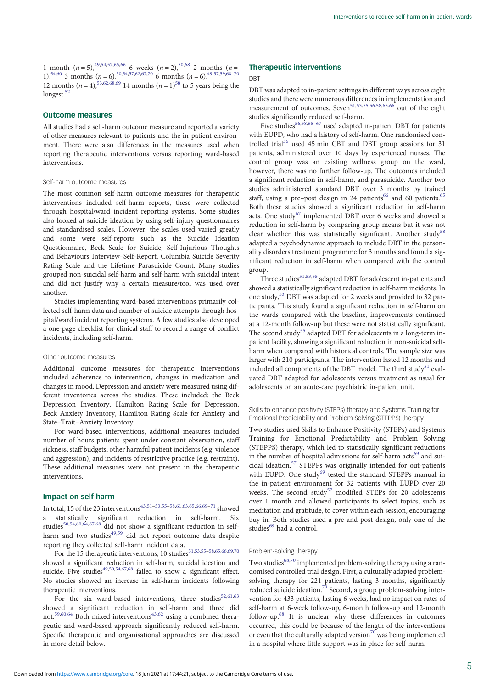1 month ( $n = 5$ ),<sup>49,54,57,65,66</sup> 6 weeks ( $n = 2$ ),<sup>[50](#page-8-0),[68](#page-8-0)</sup> 2 months ( $n =$ 1),<sup>[54,60](#page-8-0)</sup> 3 months ( $n = 6$ ),<sup>50,[54,57,62](#page-8-0),[67](#page-8-0),[70](#page-8-0)</sup> 6 months ( $n = 6$ ),<sup>49,57,[59,68](#page-8-0)–70</sup> 12 months ( $n = 4$ ),<sup>53,62,[68,69](#page-8-0)</sup> 14 months ( $n = 1$ )<sup>58</sup> to 5 years being the longest.<sup>52</sup>

### Outcome measures

All studies had a self-harm outcome measure and reported a variety of other measures relevant to patients and the in-patient environment. There were also differences in the measures used when reporting therapeutic interventions versus reporting ward-based interventions.

#### Self-harm outcome measures

The most common self-harm outcome measures for therapeutic interventions included self-harm reports, these were collected through hospital/ward incident reporting systems. Some studies also looked at suicide ideation by using self-injury questionnaires and standardised scales. However, the scales used varied greatly and some were self-reports such as the Suicide Ideation Questionnaire, Beck Scale for Suicide, Self-Injurious Thoughts and Behaviours Interview–Self-Report, Columbia Suicide Severity Rating Scale and the Lifetime Parasuicide Count. Many studies grouped non-suicidal self-harm and self-harm with suicidal intent and did not justify why a certain measure/tool was used over another.

Studies implementing ward-based interventions primarily collected self-harm data and number of suicide attempts through hospital/ward incident reporting systems. A few studies also developed a one-page checklist for clinical staff to record a range of conflict incidents, including self-harm.

### Other outcome measures

Additional outcome measures for therapeutic interventions included adherence to intervention, changes in medication and changes in mood. Depression and anxiety were measured using different inventories across the studies. These included: the Beck Depression Inventory, Hamilton Rating Scale for Depression, Beck Anxiety Inventory, Hamilton Rating Scale for Anxiety and State–Trait–Anxiety Inventory.

For ward-based interventions, additional measures included number of hours patients spent under constant observation, staff sickness, staff budgets, other harmful patient incidents (e.g. violence and aggression), and incidents of restrictive practice (e.g. restraint). These additional measures were not present in the therapeutic interventions.

## Impact on self-harm

In total, 15 of the 23 interventions<sup>[43](#page-7-0),[51](#page-8-0)-[53](#page-8-0),[55](#page-8-0)-[58,61,63,65,66,69](#page-8-0)-[71](#page-8-0)</sup> showed a statistically significant reduction in self-harm. Six studies<sup>[50,54,60,64,67,68](#page-8-0)</sup> did not show a significant reduction in self-harm and two studies<sup>[49](#page-8-0),[59](#page-8-0)</sup> did not report outcome data despite reporting they collected self-harm incident data.

For the 15 therapeutic interventions, 10 studies  $51,53,55-58,65,66,69,70$  $51,53,55-58,65,66,69,70$  $51,53,55-58,65,66,69,70$  $51,53,55-58,65,66,69,70$  $51,53,55-58,65,66,69,70$  $51,53,55-58,65,66,69,70$ showed a significant reduction in self-harm, suicidal ideation and suicide. Five studies<sup>[49,50,54](#page-8-0),[67,68](#page-8-0)</sup> failed to show a significant effect. No studies showed an increase in self-harm incidents following therapeutic interventions.

For the six ward-based interventions, three studies  $52,61,63$ showed a significant reduction in self-harm and three did not.<sup>[59,60,64](#page-8-0)</sup> Both mixed interventions<sup>[43,](#page-7-0)[62](#page-8-0)</sup> using a combined therapeutic and ward-based approach significantly reduced self-harm. Specific therapeutic and organisational approaches are discussed in more detail below.

## Therapeutic interventions

DBT

DBT was adapted to in-patient settings in different ways across eight studies and there were numerous differences in implementation and measurement of outcomes. Seven<sup>51,53,[55](#page-8-0),[56](#page-8-0),[58](#page-8-0),[65](#page-8-0),[66](#page-8-0)</sup> out of the eight studies significantly reduced self-harm.

Five studies<sup>[56](#page-8-0),[58](#page-8-0),[65](#page-8-0)-[67](#page-8-0)</sup> used adapted in-patient DBT for patients with EUPD, who had a history of self-harm. One randomised controlled trial<sup>56</sup> used 45 min CBT and DBT group sessions for 31 patients, administered over 10 days by experienced nurses. The control group was an existing wellness group on the ward, however, there was no further follow-up. The outcomes included a significant reduction in self-harm, and parasuicide. Another two studies administered standard DBT over 3 months by trained staff, using a pre-post design in 24 patients<sup>[66](#page-8-0)</sup> and 60 patients.<sup>[65](#page-8-0)</sup> Both these studies showed a significant reduction in self-harm acts. One study<sup>67</sup> implemented DBT over 6 weeks and showed a reduction in self-harm by comparing group means but it was not clear whether this was statistically significant. Another study<sup>[58](#page-8-0)</sup> adapted a psychodynamic approach to include DBT in the personality disorders treatment programme for 3 months and found a significant reduction in self-harm when compared with the control group.

Three studies<sup>[51,53](#page-8-0),[55](#page-8-0)</sup> adapted DBT for adolescent in-patients and showed a statistically significant reduction in self-harm incidents. In one study[,53](#page-8-0) DBT was adapted for 2 weeks and provided to 32 participants. This study found a significant reduction in self-harm on the wards compared with the baseline, improvements continued at a 12-month follow-up but these were not statistically significant. The second study<sup>[55](#page-8-0)</sup> adapted DBT for adolescents in a long-term inpatient facility, showing a significant reduction in non-suicidal selfharm when compared with historical controls. The sample size was larger with 210 participants. The intervention lasted 12 months and included all components of the DBT model. The third study<sup>[51](#page-8-0)</sup> evaluated DBT adapted for adolescents versus treatment as usual for adolescents on an acute-care psychiatric in-patient unit.

#### Skills to enhance positivity (STEPs) therapy and Systems Training for Emotional Predictability and Problem Solving (STEPPS) therapy

Two studies used Skills to Enhance Positivity (STEPs) and Systems Training for Emotional Predictability and Problem Solving (STEPPS) therapy, which led to statistically significant reductions in the number of hospital admissions for self-harm  $acts^{69}$  $acts^{69}$  $acts^{69}$  and suicidal ideation.<sup>57</sup> STEPPs was originally intended for out-patients with EUPD. One study<sup>[69](#page-8-0)</sup> tested the standard STEPPs manual in the in-patient environment for 32 patients with EUPD over 20 weeks. The second study<sup>[57](#page-8-0)</sup> modified STEPs for 20 adolescents over 1 month and allowed participants to select topics, such as meditation and gratitude, to cover within each session, encouraging buy-in. Both studies used a pre and post design, only one of the studies $^{69}$  $^{69}$  $^{69}$  had a control.

## Problem-solving therapy

Two studies<sup>[68,70](#page-8-0)</sup> implemented problem-solving therapy using a randomised controlled trial design. First, a culturally adapted problemsolving therapy for 221 patients, lasting 3 months, significantly reduced suicide ideation.<sup>[70](#page-8-0)</sup> Second, a group problem-solving intervention for 433 patients, lasting 6 weeks, had no impact on rates of self-harm at 6-week follow-up, 6-month follow-up and 12-month follow-up.[68](#page-8-0) It is unclear why these differences in outcomes occurred, this could be because of the length of the interventions or even that the culturally adapted version<sup>[70](#page-8-0)</sup> was being implemented in a hospital where little support was in place for self-harm.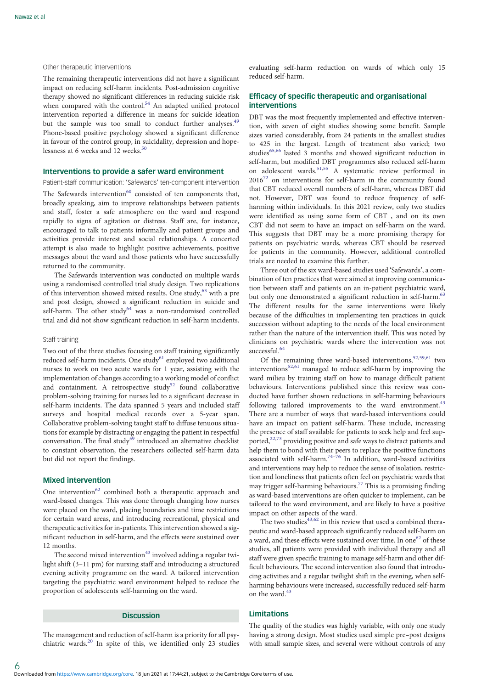#### Other therapeutic interventions

The remaining therapeutic interventions did not have a significant impact on reducing self-harm incidents. Post-admission cognitive therapy showed no significant differences in reducing suicide risk when compared with the control.<sup>[54](#page-8-0)</sup> An adapted unified protocol intervention reported a difference in means for suicide ideation but the sample was too small to conduct further analyses.<sup>[49](#page-8-0)</sup> Phone-based positive psychology showed a significant difference in favour of the control group, in suicidality, depression and hope-lessness at 6 weeks and 12 weeks.<sup>[50](#page-8-0)</sup>

#### Interventions to provide a safer ward environment

Patient-staff communication: 'Safewards' ten-component intervention

The Safewards intervention $60$  consisted of ten components that, broadly speaking, aim to improve relationships between patients and staff, foster a safe atmosphere on the ward and respond rapidly to signs of agitation or distress. Staff are, for instance, encouraged to talk to patients informally and patient groups and activities provide interest and social relationships. A concerted attempt is also made to highlight positive achievements, positive messages about the ward and those patients who have successfully returned to the community.

The Safewards intervention was conducted on multiple wards using a randomised controlled trial study design. Two replications of this intervention showed mixed results. One study,<sup>[63](#page-8-0)</sup> with a pre and post design, showed a significant reduction in suicide and self-harm. The other study $64$  was a non-randomised controlled trial and did not show significant reduction in self-harm incidents.

### Staff training

Two out of the three studies focusing on staff training significantly reduced self-harm incidents. One study<sup>[61](#page-8-0)</sup> employed two additional nurses to work on two acute wards for 1 year, assisting with the implementation of changes according to a working model of conflict and containment. A retrospective study<sup>[52](#page-8-0)</sup> found collaborative problem-solving training for nurses led to a significant decrease in self-harm incidents. The data spanned 5 years and included staff surveys and hospital medical records over a 5-year span. Collaborative problem-solving taught staff to diffuse tenuous situations for example by distracting or engaging the patient in respectful conversation. The final study<sup>[59](#page-8-0)</sup> introduced an alternative checklist to constant observation, the researchers collected self-harm data but did not report the findings.

## Mixed intervention

6

One intervention $62$  combined both a therapeutic approach and ward-based changes. This was done through changing how nurses were placed on the ward, placing boundaries and time restrictions for certain ward areas, and introducing recreational, physical and therapeutic activities for in-patients. This intervention showed a significant reduction in self-harm, and the effects were sustained over 12 months.

The second mixed intervention $43$  involved adding a regular twilight shift (3–11 pm) for nursing staff and introducing a structured evening activity programme on the ward. A tailored intervention targeting the psychiatric ward environment helped to reduce the proportion of adolescents self-harming on the ward.

## Discussion

The management and reduction of self-harm is a priority for all psychiatric wards.[20](#page-7-0) In spite of this, we identified only 23 studies evaluating self-harm reduction on wards of which only 15 reduced self-harm.

## Efficacy of specific therapeutic and organisational interventions

DBT was the most frequently implemented and effective intervention, with seven of eight studies showing some benefit. Sample sizes varied considerably, from 24 patients in the smallest studies to 425 in the largest. Length of treatment also varied; two studies<sup>[65,66](#page-8-0)</sup> lasted 3 months and showed significant reduction in self-harm, but modified DBT programmes also reduced self-harm on adolescent wards[.51,55](#page-8-0) A systematic review performed in  $2016^{72}$  $2016^{72}$  $2016^{72}$  on interventions for self-harm in the community found that CBT reduced overall numbers of self-harm, whereas DBT did not. However, DBT was found to reduce frequency of selfharming within individuals. In this 2021 review, only two studies were identified as using some form of CBT , and on its own CBT did not seem to have an impact on self-harm on the ward. This suggests that DBT may be a more promising therapy for patients on psychiatric wards, whereas CBT should be reserved for patients in the community. However, additional controlled trials are needed to examine this further.

Three out of the six ward-based studies used 'Safewards', a combination of ten practices that were aimed at improving communication between staff and patients on an in-patient psychiatric ward, but only one demonstrated a significant reduction in self-harm.<sup>[63](#page-8-0)</sup> The different results for the same interventions were likely because of the difficulties in implementing ten practices in quick succession without adapting to the needs of the local environment rather than the nature of the intervention itself. This was noted by clinicians on psychiatric wards where the intervention was not successful.<sup>[64](#page-8-0)</sup>

Of the remaining three ward-based interventions,  $52,59,61$  $52,59,61$  $52,59,61$  $52,59,61$  $52,59,61$  two interventions<sup>[52](#page-8-0),[61](#page-8-0)</sup> managed to reduce self-harm by improving the ward milieu by training staff on how to manage difficult patient behaviours. Interventions published since this review was conducted have further shown reductions in self-harming behaviours following tailored improvements to the ward environment.<sup>[43](#page-7-0)</sup> There are a number of ways that ward-based interventions could have an impact on patient self-harm. These include, increasing the presence of staff available for patients to seek help and feel supported, $22,73$  $22,73$  providing positive and safe ways to distract patients and help them to bond with their peers to replace the positive functions associated with self-harm.<sup>[74](#page-8-0)-[76](#page-8-0)</sup> In addition, ward-based activities and interventions may help to reduce the sense of isolation, restriction and loneliness that patients often feel on psychiatric wards that may trigger self-harming behaviours.[77](#page-8-0) This is a promising finding as ward-based interventions are often quicker to implement, can be tailored to the ward environment, and are likely to have a positive impact on other aspects of the ward.

The two studies $43,62$  $43,62$  in this review that used a combined therapeutic and ward-based approach significantly reduced self-harm on a ward, and these effects were sustained over time. In one<sup>62</sup> of these studies, all patients were provided with individual therapy and all staff were given specific training to manage self-harm and other difficult behaviours. The second intervention also found that introducing activities and a regular twilight shift in the evening, when selfharming behaviours were increased, successfully reduced self-harm on the ward.<sup>[43](#page-7-0)</sup>

## Limitations

The quality of the studies was highly variable, with only one study having a strong design. Most studies used simple pre–post designs with small sample sizes, and several were without controls of any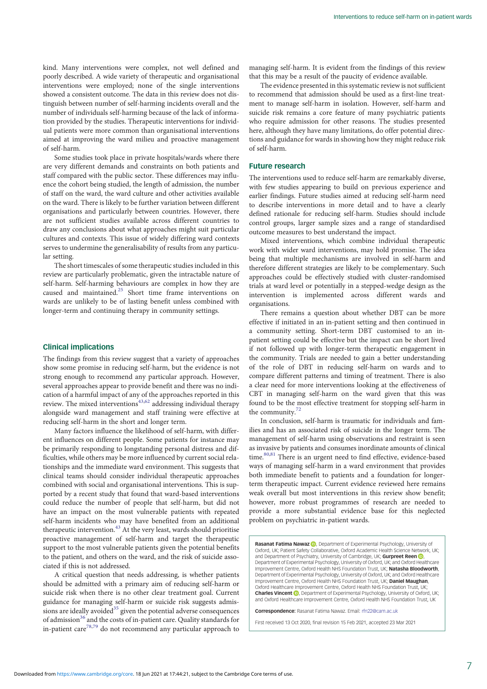kind. Many interventions were complex, not well defined and poorly described. A wide variety of therapeutic and organisational interventions were employed; none of the single interventions showed a consistent outcome. The data in this review does not distinguish between number of self-harming incidents overall and the number of individuals self-harming because of the lack of information provided by the studies. Therapeutic interventions for individual patients were more common than organisational interventions aimed at improving the ward milieu and proactive management of self-harm.

Some studies took place in private hospitals/wards where there are very different demands and constraints on both patients and staff compared with the public sector. These differences may influence the cohort being studied, the length of admission, the number of staff on the ward, the ward culture and other activities available on the ward. There is likely to be further variation between different organisations and particularly between countries. However, there are not sufficient studies available across different countries to draw any conclusions about what approaches might suit particular cultures and contexts. This issue of widely differing ward contexts serves to undermine the generalisability of results from any particular setting.

The short timescales of some therapeutic studies included in this review are particularly problematic, given the intractable nature of self-harm. Self-harming behaviours are complex in how they are caused and maintained[.25](#page-7-0) Short time frame interventions on wards are unlikely to be of lasting benefit unless combined with longer-term and continuing therapy in community settings.

## Clinical implications

The findings from this review suggest that a variety of approaches show some promise in reducing self-harm, but the evidence is not strong enough to recommend any particular approach. However, several approaches appear to provide benefit and there was no indication of a harmful impact of any of the approaches reported in this review. The mixed interventions<sup>[43](#page-7-0),[62](#page-8-0)</sup> addressing individual therapy alongside ward management and staff training were effective at reducing self-harm in the short and longer term.

Many factors influence the likelihood of self-harm, with different influences on different people. Some patients for instance may be primarily responding to longstanding personal distress and difficulties, while others may be more influenced by current social relationships and the immediate ward environment. This suggests that clinical teams should consider individual therapeutic approaches combined with social and organisational interventions. This is supported by a recent study that found that ward-based interventions could reduce the number of people that self-harm, but did not have an impact on the most vulnerable patients with repeated self-harm incidents who may have benefited from an additional therapeutic intervention. $43$  At the very least, wards should prioritise proactive management of self-harm and target the therapeutic support to the most vulnerable patients given the potential benefits to the patient, and others on the ward, and the risk of suicide associated if this is not addressed.

A critical question that needs addressing, is whether patients should be admitted with a primary aim of reducing self-harm or suicide risk when there is no other clear treatment goal. Current guidance for managing self-harm or suicide risk suggests admissions are ideally avoided $35$  given the potential adverse consequences of admission<sup>[36](#page-7-0)</sup> and the costs of in-patient care. Quality standards for in-patient care<sup>[78,79](#page-8-0)</sup> do not recommend any particular approach to

managing self-harm. It is evident from the findings of this review that this may be a result of the paucity of evidence available.

The evidence presented in this systematic review is not sufficient to recommend that admission should be used as a first-line treatment to manage self-harm in isolation. However, self-harm and suicide risk remains a core feature of many psychiatric patients who require admission for other reasons. The studies presented here, although they have many limitations, do offer potential directions and guidance for wards in showing how they might reduce risk of self-harm.

## Future research

The interventions used to reduce self-harm are remarkably diverse, with few studies appearing to build on previous experience and earlier findings. Future studies aimed at reducing self-harm need to describe interventions in more detail and to have a clearly defined rationale for reducing self-harm. Studies should include control groups, larger sample sizes and a range of standardised outcome measures to best understand the impact.

Mixed interventions, which combine individual therapeutic work with wider ward interventions, may hold promise. The idea being that multiple mechanisms are involved in self-harm and therefore different strategies are likely to be complementary. Such approaches could be effectively studied with cluster-randomised trials at ward level or potentially in a stepped-wedge design as the intervention is implemented across different wards and organisations.

There remains a question about whether DBT can be more effective if initiated in an in-patient setting and then continued in a community setting. Short-term DBT customised to an inpatient setting could be effective but the impact can be short lived if not followed up with longer-term therapeutic engagement in the community. Trials are needed to gain a better understanding of the role of DBT in reducing self-harm on wards and to compare different patterns and timing of treatment. There is also a clear need for more interventions looking at the effectiveness of CBT in managing self-harm on the ward given that this was found to be the most effective treatment for stopping self-harm in the community.[72](#page-8-0)

In conclusion, self-harm is traumatic for individuals and families and has an associated risk of suicide in the longer term. The management of self-harm using observations and restraint is seen as invasive by patients and consumes inordinate amounts of clinical time.<sup>[80](#page-8-0),[81](#page-8-0)</sup> There is an urgent need to find effective, evidence-based ways of managing self-harm in a ward environment that provides both immediate benefit to patients and a foundation for longerterm therapeutic impact. Current evidence reviewed here remains weak overall but most interventions in this review show benefit; however, more robust programmes of research are needed to provide a more substantial evidence base for this neglected problem on psychiatric in-patient wards.

Rasanat Fatima Nawaz (D)[,](https://orcid.org/0000-0002-9600-2136) Department of Experimental Psychology, University of Oxford, UK; Patient Safety Collaborative, Oxford Academic Health Science Network, UK; and Department of Psychiatry[,](https://orcid.org/0000-0002-2634-6662) University of Cambridge, UK; **Gurpreet Reen .** Department of Experimental Psychology, University of Oxford, UK; and Oxford Healthcare Improvement Centre, Oxford Health NHS Foundation Trust, UK; Natasha Bloodworth, Department of Experimental Psychology, University of Oxford, UK; and Oxford Healthcare Improvement Centre, Oxford Health NHS Foundation Trust, UK; Daniel Maughan, Oxford Healthcare Improvement Centre, Oxford Health NHS Foundation Trust, UK; Charles Vincent **D**. Department of Experimental Psychology, University of Oxford, UK; and Oxford Healthcare Improvement Centre, Oxford Health NHS Foundation Trust, UK

Correspondence: Rasanat Fatima Nawaz. Email: [rfn22@cam.ac.uk](mailto:rfn22@cam.ac.uk)

First received 13 Oct 2020, final revision 15 Feb 2021, accepted 23 Mar 2021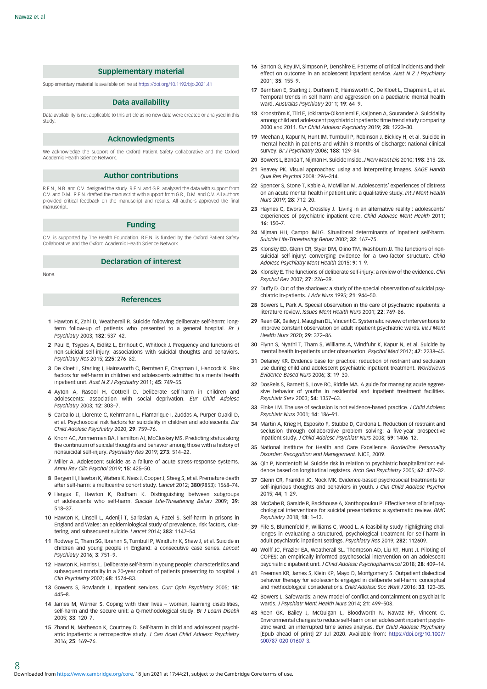### Supplementary material

<span id="page-7-0"></span>Supplementary material is available online at <https://doi.org/10.1192/bjo.2021.41>

## Data availability

Data availability is not applicable to this article as no new data were created or analysed in this study.

#### Acknowledgments

We acknowledge the support of the Oxford Patient Safety Collaborative and the Oxford Academic Health Science Network.

#### Author contributions

R.F.N., N.B. and C.V. designed the study. R.F.N. and G.R. analysed the data with support from C.V. and D.M.. R.F.N. drafted the manuscript with support from G.R., D.M. and C.V. All authors provided critical feedback on the manuscript and results. All authors approved the final manuscript.

#### Funding

C.V. is supported by The Health Foundation. R.F.N. is funded by the Oxford Patient Safety Collaborative and the Oxford Academic Health Science Network.

#### Declaration of interest

None.

8

## References

- 1 Hawton K, Zahl D, Weatherall R. Suicide following deliberate self-harm: longterm follow-up of patients who presented to a general hospital. Br J Psychiatry 2003; 182: 537–42.
- 2 Paul E, Tsypes A, Eidlitz L, Ernhout C, Whitlock J, Frequency and functions of non-suicidal self-injury: associations with suicidal thoughts and behaviors. Psychiatry Res 2015; 225: 276–82.
- 3 De Kloet L, Starling J, Hainsworth C, Berntsen E, Chapman L, Hancock K. Risk factors for self-harm in children and adolescents admitted to a mental health inpatient unit. Aust N Z J Psychiatry 2011; 45: 749–55.
- 4 Ayton A, Rasool H, Cottrell D. Deliberate self-harm in children and adolescents: association with social deprivation. Eur Child Adolesc Psychiatry 2003; 12: 303–7.
- 5 Carballo JJ, Llorente C, Kehrmann L, Flamarique I, Zuddas A, Purper-Ouakil D, et al. Psychosocial risk factors for suicidality in children and adolescents. Eur Child Adolesc Psychiatry 2020; 29: 759–76.
- 6 Knorr AC, Ammerman BA, Hamilton AJ, McCloskey MS. Predicting status along the continuum of suicidal thoughts and behavior among those with a history of nonsuicidal self-injury. Psychiatry Res 2019; 273: 514–22.
- 7 Miller A. Adolescent suicide as a failure of acute stress-response systems. Annu Rev Clin Psychol 2019; 15: 425–50.
- 8 Bergen H, Hawton K, Waters K, Ness J, Cooper J, Steeg S, et al. Premature death after self-harm: a multicentre cohort study. Lancet 2012; 380(9853): 1568–74.
- 9 Hargus E, Hawton K, Rodham K. Distinguishing between subgroups of adolescents who self-harm. Suicide Life-Threatening Behav 2009; 39: 518–37.
- 10 Hawton K, Linsell L, Adeniji T, Sariaslan A, Fazel S. Self-harm in prisons in England and Wales: an epidemiological study of prevalence, risk factors, clustering, and subsequent suicide. Lancet 2014; 383: 1147–54.
- 11 Rodway C, Tham SG, Ibrahim S, Turnbull P, Windfuhr K, Shaw J, et al. Suicide in children and young people in England: a consecutive case series. Lancet Psychiatry 2016; 3: 751–9.
- 12 Hawton K, Harriss L. Deliberate self-harm in young people: characteristics and subsequent mortality in a 20-year cohort of patients presenting to hospital. J Clin Psychiatry 2007; 68: 1574–83.
- 13 Gowers S, Rowlands L. Inpatient services. Curr Opin Psychiatry 2005; 18: 445–8.
- 14 James M, Warner S. Coping with their lives women, learning disabilities, self-harm and the secure unit: a Q-methodological study. Br J Learn Disabil 2005; 33: 120–7.
- 15 Zhand N, Matheson K, Courtney D. Self-harm in child and adolescent psychiatric inpatients: a retrospective study. J Can Acad Child Adolesc Psychiatry 2016; 25: 169–76.
- 16 Barton G, Rey JM, Simpson P, Denshire E. Patterns of critical incidents and their effect on outcome in an adolescent inpatient service. Aust N Z J Psychiatry 2001; 35: 155–9.
- 17 Berntsen E, Starling J, Durheim E, Hainsworth C, De Kloet L, Chapman L, et al. Temporal trends in self harm and aggression on a paediatric mental health ward. Australas Psychiatry 2011; 19: 64–9.
- 18 Kronström K, Tiiri E, Jokiranta-Olkoniemi E, Kaljonen A, Sourander A. Suicidality among child and adolescent psychiatric inpatients: time trend study comparing 2000 and 2011. Eur Child Adolesc Psychiatry 2019; 28: 1223–30.
- 19 Meehan J, Kapur N, Hunt IM, Turnbull P, Robinson J, Bickley H, et al. Suicide in mental health in-patients and within 3 months of discharge: national clinical survey. Br J Psychiatry 2006; 188: 129–34.
- 20 Bowers L, Banda T, Nijman H. Suicide Inside. J Nerv Ment Dis 2010; 198: 315–28.
- 21 Reavey PK. Visual approaches: using and interpreting images. SAGE Handb Qual Res Psychol 2008: 296–314.
- 22 Spencer S, Stone T, Kable A, McMillan M. Adolescents' experiences of distress on an acute mental health inpatient unit: a qualitative study. Int J Ment Health Nurs 2019; 28: 712–20.
- 23 Haynes C, Eivors A, Crossley J. 'Living in an alternative reality': adolescents' experiences of psychiatric inpatient care. Child Adolesc Ment Health 2011; 16: 150–7.
- 24 Nijman HLI, Campo JMLG. Situational determinants of inpatient self-harm. Suicide Life-Threatening Behav 2002; 32: 167–75.
- 25 Klonsky ED, Glenn CR, Styer DM, Olino TM, Washburn JJ. The functions of nonsuicidal self-injury: converging evidence for a two-factor structure. Child Adolesc Psychiatry Ment Health 2015; 9: 1–9.
- 26 Klonsky E. The functions of deliberate self-injury: a review of the evidence. Clin Psychol Rev 2007; 27: 226–39.
- 27 Duffy D. Out of the shadows: a study of the special observation of suicidal psychiatric in-patients. J Adv Nurs 1995; 21: 944–50.
- 28 Bowers L, Park A. Special observation in the care of psychiatric inpatients: a literature review. Issues Ment Health Nurs 2001: 22: 769-86
- 29 Reen GK, Bailey J, Maughan DL, Vincent C, Systematic review of interventions to improve constant observation on adult inpatient psychiatric wards. Int J Ment Health Nurs 2020; 29: 372–86.
- 30 Flynn S, Nyathi T, Tham S, Williams A, Windfuhr K, Kapur N, et al. Suicide by mental health in-patients under observation. Psychol Med 2017; 47: 2238–45.
- 31 Delaney KR. Evidence base for practice: reduction of restraint and seclusion use during child and adolescent psychiatric inpatient treatment. Worldviews Evidence-Based Nurs 2006; 3: 19–30.
- 32 DosReis S, Barnett S, Love RC, Riddle MA. A guide for managing acute aggressive behavior of youths in residential and inpatient treatment facilities. Psychiatr Serv 2003; 54: 1357–63.
- 33 Finke LM. The use of seclusion is not evidence-based practice. J Child Adolesc Psychiatr Nurs 2001; 14: 186–91.
- 34 Martin A, Krieg H, Esposito F, Stubbe D, Cardona L, Reduction of restraint and seclusion through collaborative problem solving: a five-year prospective inpatient study. J Child Adolesc Psychiatr Nurs 2008; 59: 1406–12.
- 35 National Institute for Health and Care Excellence. Borderline Personality Disorder: Recognition and Management. NICE, 2009.
- 36 Qin P, Nordentoft M. Suicide risk in relation to psychiatric hospitalization: evidence based on longitudinal registers. Arch Gen Psychiatry 2005; 62: 427–32.
- 37 Glenn CR, Franklin JC, Nock MK. Evidence-based psychosocial treatments for self-injurious thoughts and behaviors in youth. J Clin Child Adolesc Psychol 2015; 44; 1–29.
- 38 McCabe R, Garside R, Backhouse A, Xanthopoulou P. Effectiveness of brief psychological interventions for suicidal presentations: a systematic review. BMC Psychiatry 2018; 18: 1–13.
- 39 Fife S, Blumenfeld F, Williams C, Wood L. A feasibility study highlighting challenges in evaluating a structured, psychological treatment for self-harm in adult psychiatric inpatient settings. Psychiatry Res 2019; 282: 112609.
- 40 Wolff JC, Frazier EA, Weatherall SL, Thompson AD, Liu RT, Hunt JI. Piloting of COPES: an empirically informed psychosocial intervention on an adolescent psychiatric inpatient unit. J Child Adolesc Psychopharmacol 2018; 28: 409–14.
- 41 Freeman KR, James S, Klein KP, Mayo D, Montgomery S. Outpatient dialectical behavior therapy for adolescents engaged in deliberate self-harm: conceptual and methodological considerations. Child Adolesc Soc Work J 2016; 33: 123–35.
- 42 Bowers L. Safewards: a new model of conflict and containment on psychiatric wards. J Psychiatr Ment Health Nurs 2014; 21: 499–508.
- 43 Reen GK, Bailey J, McGuigan L, Bloodworth N, Nawaz RF, Vincent C. Environmental changes to reduce self-harm on an adolescent inpatient psychiatric ward: an interrupted time series analysis. Eur Child Adolesc Psychiatry [Epub ahead of print] 27 Jul 2020. Available from: [https://doi.org/10.1007/](https://doi.org/10.1007/s00787-020-01607-3) [s00787-020-01607-3](https://doi.org/10.1007/s00787-020-01607-3).